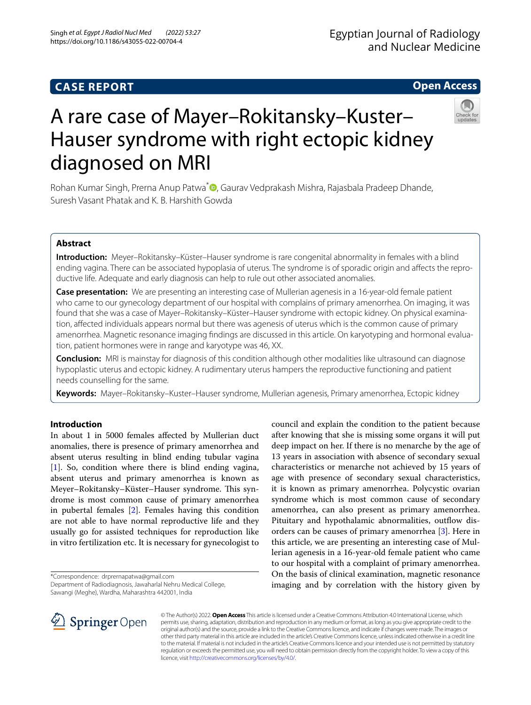# **Open Access**



# A rare case of Mayer–Rokitansky–Kuster– Hauser syndrome with right ectopic kidney diagnosed on MRI

Rohan Kumar Singh[,](http://orcid.org/0000-0003-4214-1007) Prerna Anup Patwa<sup>\*</sup> , Gaurav Vedprakash Mishra, Rajasbala Pradeep Dhande, Suresh Vasant Phatak and K. B. Harshith Gowda

# **Abstract**

**Introduction:** Meyer–Rokitansky–Küster–Hauser syndrome is rare congenital abnormality in females with a blind ending vagina. There can be associated hypoplasia of uterus. The syndrome is of sporadic origin and afects the reproductive life. Adequate and early diagnosis can help to rule out other associated anomalies.

**Case presentation:** We are presenting an interesting case of Mullerian agenesis in a 16-year-old female patient who came to our gynecology department of our hospital with complains of primary amenorrhea. On imaging, it was found that she was a case of Mayer–Rokitansky–Küster–Hauser syndrome with ectopic kidney. On physical examination, afected individuals appears normal but there was agenesis of uterus which is the common cause of primary amenorrhea. Magnetic resonance imaging fndings are discussed in this article. On karyotyping and hormonal evaluation, patient hormones were in range and karyotype was 46, XX.

**Conclusion:** MRI is mainstay for diagnosis of this condition although other modalities like ultrasound can diagnose hypoplastic uterus and ectopic kidney. A rudimentary uterus hampers the reproductive functioning and patient needs counselling for the same.

**Keywords:** Mayer–Rokitansky–Kuster–Hauser syndrome, Mullerian agenesis, Primary amenorrhea, Ectopic kidney

# **Introduction**

In about 1 in 5000 females afected by Mullerian duct anomalies, there is presence of primary amenorrhea and absent uterus resulting in blind ending tubular vagina [[1\]](#page-3-0). So, condition where there is blind ending vagina, absent uterus and primary amenorrhea is known as Meyer–Rokitansky–Küster–Hauser syndrome. This syndrome is most common cause of primary amenorrhea in pubertal females [\[2](#page-3-1)]. Females having this condition are not able to have normal reproductive life and they usually go for assisted techniques for reproduction like in vitro fertilization etc. It is necessary for gynecologist to

\*Correspondence: drprernapatwa@gmail.com

Department of Radiodiagnosis, Jawaharlal Nehru Medical College, Sawangi (Meghe), Wardha, Maharashtra 442001, India

council and explain the condition to the patient because after knowing that she is missing some organs it will put deep impact on her. If there is no menarche by the age of 13 years in association with absence of secondary sexual characteristics or menarche not achieved by 15 years of age with presence of secondary sexual characteristics, it is known as primary amenorrhea. Polycystic ovarian syndrome which is most common cause of secondary amenorrhea, can also present as primary amenorrhea. Pituitary and hypothalamic abnormalities, outflow disorders can be causes of primary amenorrhea [[3](#page-3-2)]. Here in this article, we are presenting an interesting case of Mullerian agenesis in a 16-year-old female patient who came to our hospital with a complaint of primary amenorrhea. On the basis of clinical examination, magnetic resonance imaging and by correlation with the history given by



© The Author(s) 2022. **Open Access** This article is licensed under a Creative Commons Attribution 4.0 International License, which permits use, sharing, adaptation, distribution and reproduction in any medium or format, as long as you give appropriate credit to the original author(s) and the source, provide a link to the Creative Commons licence, and indicate if changes were made. The images or other third party material in this article are included in the article's Creative Commons licence, unless indicated otherwise in a credit line to the material. If material is not included in the article's Creative Commons licence and your intended use is not permitted by statutory regulation or exceeds the permitted use, you will need to obtain permission directly from the copyright holder. To view a copy of this licence, visit [http://creativecommons.org/licenses/by/4.0/.](http://creativecommons.org/licenses/by/4.0/)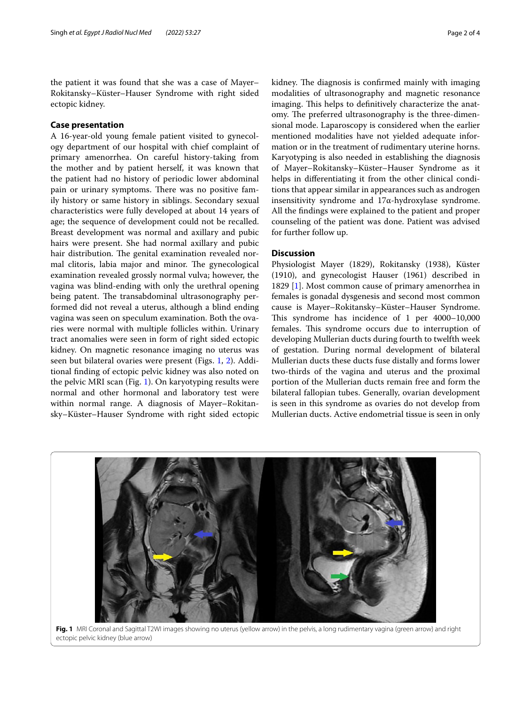the patient it was found that she was a case of Mayer– Rokitansky–Küster–Hauser Syndrome with right sided ectopic kidney.

# **Case presentation**

A 16-year-old young female patient visited to gynecology department of our hospital with chief complaint of primary amenorrhea. On careful history-taking from the mother and by patient herself, it was known that the patient had no history of periodic lower abdominal pain or urinary symptoms. There was no positive family history or same history in siblings. Secondary sexual characteristics were fully developed at about 14 years of age; the sequence of development could not be recalled. Breast development was normal and axillary and pubic hairs were present. She had normal axillary and pubic hair distribution. The genital examination revealed normal clitoris, labia major and minor. The gynecological examination revealed grossly normal vulva; however, the vagina was blind-ending with only the urethral opening being patent. The transabdominal ultrasonography performed did not reveal a uterus, although a blind ending vagina was seen on speculum examination. Both the ovaries were normal with multiple follicles within. Urinary tract anomalies were seen in form of right sided ectopic kidney. On magnetic resonance imaging no uterus was seen but bilateral ovaries were present (Figs. [1](#page-1-0), [2\)](#page-2-0). Additional fnding of ectopic pelvic kidney was also noted on the pelvic MRI scan (Fig. [1](#page-1-0)). On karyotyping results were normal and other hormonal and laboratory test were within normal range. A diagnosis of Mayer–Rokitansky–Küster–Hauser Syndrome with right sided ectopic kidney. The diagnosis is confirmed mainly with imaging modalities of ultrasonography and magnetic resonance imaging. This helps to definitively characterize the anatomy. The preferred ultrasonography is the three-dimensional mode. Laparoscopy is considered when the earlier mentioned modalities have not yielded adequate information or in the treatment of rudimentary uterine horns. Karyotyping is also needed in establishing the diagnosis of Mayer–Rokitansky–Küster–Hauser Syndrome as it helps in diferentiating it from the other clinical conditions that appear similar in appearances such as androgen insensitivity syndrome and 17α-hydroxylase syndrome. All the fndings were explained to the patient and proper counseling of the patient was done. Patient was advised for further follow up.

## **Discussion**

Physiologist Mayer (1829), Rokitansky (1938), Küster (1910), and gynecologist Hauser (1961) described in 1829 [\[1](#page-3-0)]. Most common cause of primary amenorrhea in females is gonadal dysgenesis and second most common cause is Mayer–Rokitansky–Küster–Hauser Syndrome. This syndrome has incidence of 1 per  $4000-10,000$ females. This syndrome occurs due to interruption of developing Mullerian ducts during fourth to twelfth week of gestation. During normal development of bilateral Mullerian ducts these ducts fuse distally and forms lower two-thirds of the vagina and uterus and the proximal portion of the Mullerian ducts remain free and form the bilateral fallopian tubes. Generally, ovarian development is seen in this syndrome as ovaries do not develop from Mullerian ducts. Active endometrial tissue is seen in only



<span id="page-1-0"></span>**Fig. 1** MRI Coronal and Sagittal T2WI images showing no uterus (yellow arrow) in the pelvis, a long rudimentary vagina (green arrow) and right ectopic pelvic kidney (blue arrow)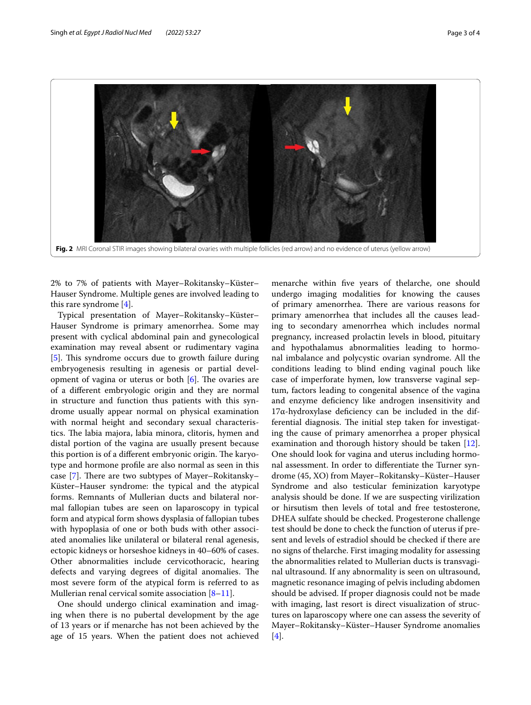

<span id="page-2-0"></span>2% to 7% of patients with Mayer–Rokitansky–Küster– Hauser Syndrome. Multiple genes are involved leading to this rare syndrome [[4\]](#page-3-3).

Typical presentation of Mayer–Rokitansky–Küster– Hauser Syndrome is primary amenorrhea. Some may present with cyclical abdominal pain and gynecological examination may reveal absent or rudimentary vagina [[5\]](#page-3-4). This syndrome occurs due to growth failure during embryogenesis resulting in agenesis or partial development of vagina or uterus or both  $[6]$  $[6]$ . The ovaries are of a diferent embryologic origin and they are normal in structure and function thus patients with this syndrome usually appear normal on physical examination with normal height and secondary sexual characteristics. The labia majora, labia minora, clitoris, hymen and distal portion of the vagina are usually present because this portion is of a different embryonic origin. The karyotype and hormone profle are also normal as seen in this case [[7\]](#page-3-6). There are two subtypes of Mayer–Rokitansky– Küster–Hauser syndrome: the typical and the atypical forms. Remnants of Mullerian ducts and bilateral normal fallopian tubes are seen on laparoscopy in typical form and atypical form shows dysplasia of fallopian tubes with hypoplasia of one or both buds with other associated anomalies like unilateral or bilateral renal agenesis, ectopic kidneys or horseshoe kidneys in 40–60% of cases. Other abnormalities include cervicothoracic, hearing defects and varying degrees of digital anomalies. The most severe form of the atypical form is referred to as Mullerian renal cervical somite association  $[8-11]$  $[8-11]$ .

One should undergo clinical examination and imaging when there is no pubertal development by the age of 13 years or if menarche has not been achieved by the age of 15 years. When the patient does not achieved menarche within fve years of thelarche, one should undergo imaging modalities for knowing the causes of primary amenorrhea. There are various reasons for primary amenorrhea that includes all the causes leading to secondary amenorrhea which includes normal pregnancy, increased prolactin levels in blood, pituitary and hypothalamus abnormalities leading to hormonal imbalance and polycystic ovarian syndrome. All the conditions leading to blind ending vaginal pouch like case of imperforate hymen, low transverse vaginal septum, factors leading to congenital absence of the vagina and enzyme defciency like androgen insensitivity and 17α-hydroxylase defciency can be included in the differential diagnosis. The initial step taken for investigating the cause of primary amenorrhea a proper physical examination and thorough history should be taken [\[12](#page-3-9)]. One should look for vagina and uterus including hormonal assessment. In order to diferentiate the Turner syndrome (45, XO) from Mayer–Rokitansky–Küster–Hauser Syndrome and also testicular feminization karyotype analysis should be done. If we are suspecting virilization or hirsutism then levels of total and free testosterone, DHEA sulfate should be checked. Progesterone challenge test should be done to check the function of uterus if present and levels of estradiol should be checked if there are no signs of thelarche. First imaging modality for assessing the abnormalities related to Mullerian ducts is transvaginal ultrasound. If any abnormality is seen on ultrasound, magnetic resonance imaging of pelvis including abdomen should be advised. If proper diagnosis could not be made with imaging, last resort is direct visualization of structures on laparoscopy where one can assess the severity of Mayer–Rokitansky–Küster–Hauser Syndrome anomalies [[4\]](#page-3-3).